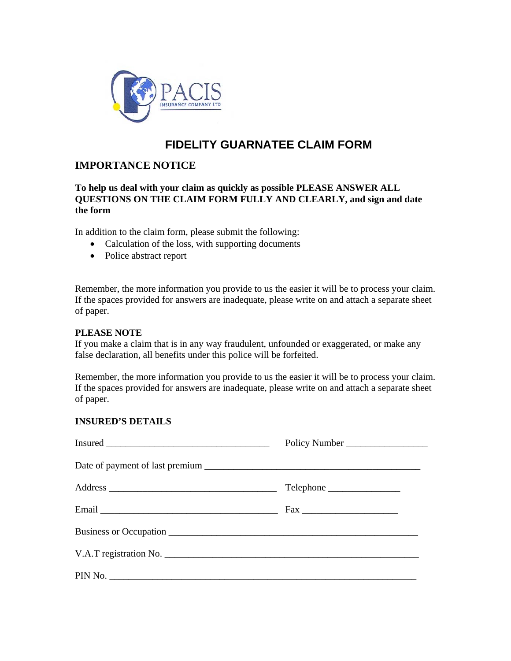

# **FIDELITY GUARNATEE CLAIM FORM**

## **IMPORTANCE NOTICE**

#### **To help us deal with your claim as quickly as possible PLEASE ANSWER ALL QUESTIONS ON THE CLAIM FORM FULLY AND CLEARLY, and sign and date the form**

In addition to the claim form, please submit the following:

- Calculation of the loss, with supporting documents
- Police abstract report

Remember, the more information you provide to us the easier it will be to process your claim. If the spaces provided for answers are inadequate, please write on and attach a separate sheet of paper.

#### **PLEASE NOTE**

If you make a claim that is in any way fraudulent, unfounded or exaggerated, or make any false declaration, all benefits under this police will be forfeited.

Remember, the more information you provide to us the easier it will be to process your claim. If the spaces provided for answers are inadequate, please write on and attach a separate sheet of paper.

#### **INSURED'S DETAILS**

| Policy Number |
|---------------|
|               |
|               |
|               |
|               |
|               |
|               |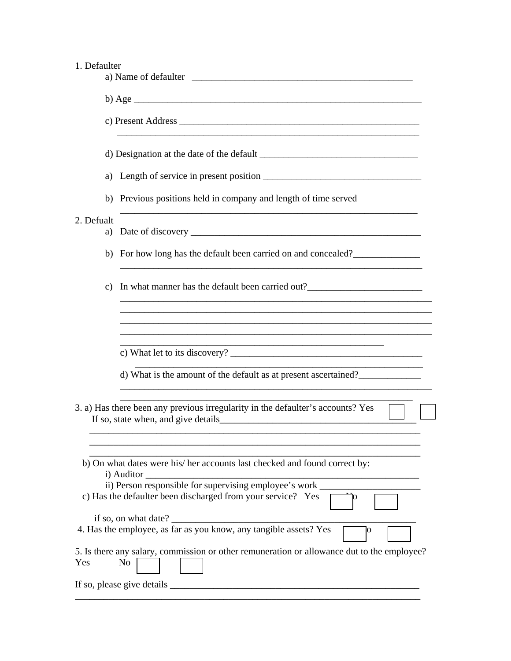### 1. Defaulter

|                  | b) Age $\qquad$                                                                                                                                                                                                       |
|------------------|-----------------------------------------------------------------------------------------------------------------------------------------------------------------------------------------------------------------------|
|                  |                                                                                                                                                                                                                       |
|                  |                                                                                                                                                                                                                       |
|                  |                                                                                                                                                                                                                       |
|                  | b) Previous positions held in company and length of time served                                                                                                                                                       |
| 2. Defualt<br>a) |                                                                                                                                                                                                                       |
|                  | b) For how long has the default been carried on and concealed?                                                                                                                                                        |
|                  | c) In what manner has the default been carried out?_____________________________                                                                                                                                      |
|                  |                                                                                                                                                                                                                       |
|                  |                                                                                                                                                                                                                       |
|                  | d) What is the amount of the default as at present ascertained?                                                                                                                                                       |
|                  | 3. a) Has there been any previous irregularity in the defaulter's accounts? Yes                                                                                                                                       |
|                  | b) On what dates were his/ her accounts last checked and found correct by:<br>i) Auditor<br>ii) Person responsible for supervising employee's work ___<br>c) Has the defaulter been discharged from your service? Yes |
|                  | if so, on what date?<br>4. Has the employee, as far as you know, any tangible assets? Yes<br>О                                                                                                                        |
| Yes              | 5. Is there any salary, commission or other remuneration or allowance dut to the employee?<br>N <sub>o</sub>                                                                                                          |
|                  | If so, please give details                                                                                                                                                                                            |